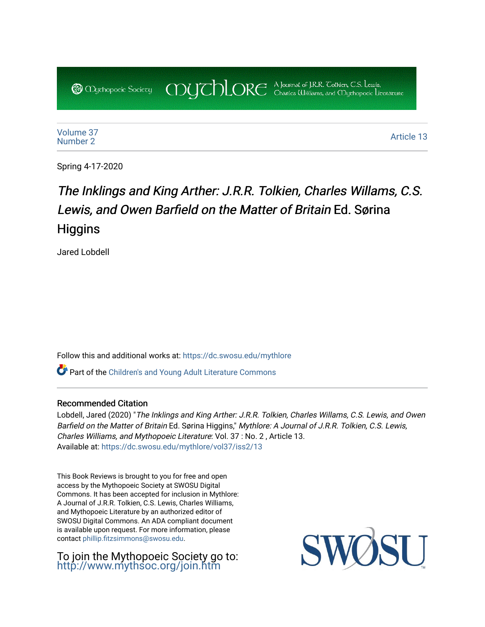COUCHORE A Journal of J.R.R. Colkien, C.S. Lewis, **@** *Oychopoeic* Sociecy

[Volume 37](https://dc.swosu.edu/mythlore/vol37) [Number 2](https://dc.swosu.edu/mythlore/vol37/iss2) Article 13<br>Number 2

Spring 4-17-2020

# The Inklings and King Arther: J.R.R. Tolkien, Charles Willams, C.S. Lewis, and Owen Barfield on the Matter of Britain Ed. Sørina **Higgins**

Jared Lobdell

Follow this and additional works at: [https://dc.swosu.edu/mythlore](https://dc.swosu.edu/mythlore?utm_source=dc.swosu.edu%2Fmythlore%2Fvol37%2Fiss2%2F13&utm_medium=PDF&utm_campaign=PDFCoverPages) 

Part of the [Children's and Young Adult Literature Commons](http://network.bepress.com/hgg/discipline/1289?utm_source=dc.swosu.edu%2Fmythlore%2Fvol37%2Fiss2%2F13&utm_medium=PDF&utm_campaign=PDFCoverPages) 

### Recommended Citation

Lobdell, Jared (2020) "The Inklings and King Arther: J.R.R. Tolkien, Charles Willams, C.S. Lewis, and Owen Barfield on the Matter of Britain Ed. Sørina Higgins," Mythlore: A Journal of J.R.R. Tolkien, C.S. Lewis, Charles Williams, and Mythopoeic Literature: Vol. 37 : No. 2 , Article 13. Available at: [https://dc.swosu.edu/mythlore/vol37/iss2/13](https://dc.swosu.edu/mythlore/vol37/iss2/13?utm_source=dc.swosu.edu%2Fmythlore%2Fvol37%2Fiss2%2F13&utm_medium=PDF&utm_campaign=PDFCoverPages)

This Book Reviews is brought to you for free and open access by the Mythopoeic Society at SWOSU Digital Commons. It has been accepted for inclusion in Mythlore: A Journal of J.R.R. Tolkien, C.S. Lewis, Charles Williams, and Mythopoeic Literature by an authorized editor of SWOSU Digital Commons. An ADA compliant document is available upon request. For more information, please contact [phillip.fitzsimmons@swosu.edu.](mailto:phillip.fitzsimmons@swosu.edu)

To join the Mythopoeic Society go to: <http://www.mythsoc.org/join.htm>

SW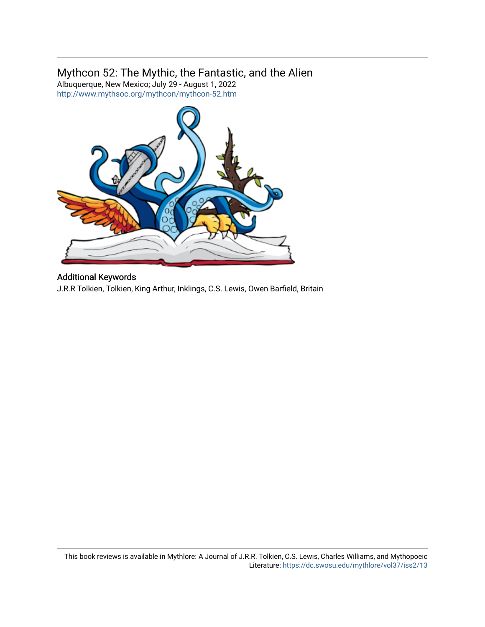## Mythcon 52: The Mythic, the Fantastic, and the Alien

Albuquerque, New Mexico; July 29 - August 1, 2022 <http://www.mythsoc.org/mythcon/mythcon-52.htm>



## Additional Keywords

J.R.R Tolkien, Tolkien, King Arthur, Inklings, C.S. Lewis, Owen Barfield, Britain

This book reviews is available in Mythlore: A Journal of J.R.R. Tolkien, C.S. Lewis, Charles Williams, and Mythopoeic Literature:<https://dc.swosu.edu/mythlore/vol37/iss2/13>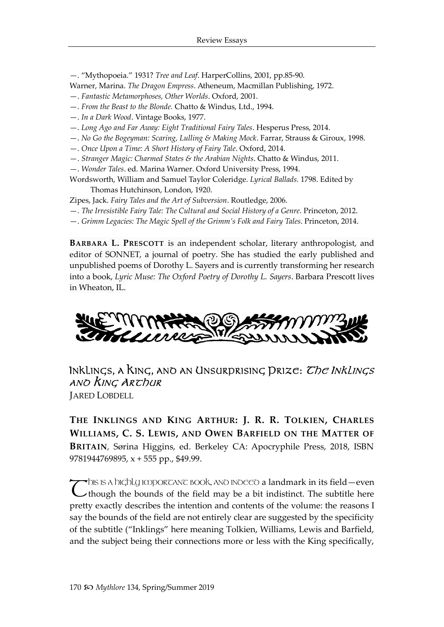—. "Mythopoeia." 1931? *Tree and Leaf*. HarperCollins, 2001, pp.85-90.

Warner, Marina. *The Dragon Empress*. Atheneum, Macmillan Publishing, 1972.

- —. *Fantastic Metamorphoses, Other Worlds*. Oxford, 2001.
- —. *From the Beast to the Blonde.* Chatto & Windus, Ltd., 1994.
- —. *In a Dark Wood*. Vintage Books, 1977.
- —. *Long Ago and Far Away: Eight Traditional Fairy Tales*. Hesperus Press, 2014.
- —. *No Go the Bogeyman: Scaring, Lulling & Making Mock*. Farrar, Strauss & Giroux, 1998.
- —. *Once Upon a Time: A Short History of Fairy Tale*. Oxford, 2014.
- —. *Stranger Magic: Charmed States & the Arabian Nights*. Chatto & Windus, 2011.
- —. *Wonder Tales*. ed. Marina Warner. Oxford University Press, 1994.

Wordsworth, William and Samuel Taylor Coleridge. *Lyrical Ballads.* 1798. Edited by

Thomas Hutchinson, London, 1920.

Zipes, Jack. *Fairy Tales and the Art of Subversion*. Routledge, 2006.

- —. *The Irresistible Fairy Tale: The Cultural and Social History of a Genre*. Princeton, 2012.
- —. *Grimm Legacies: The Magic Spell of the Grimm's Folk and Fairy Tales*. Princeton, 2014.

**BARBARA L. PRESCOTT** is an independent scholar, literary anthropologist, and editor of SONNET, a journal of poetry. She has studied the early published and unpublished poems of Dorothy L. Sayers and is currently transforming her research into a book, *Lyric Muse: The Oxford Poetry of Dorothy L. Sayers*. Barbara Prescott lives in Wheaton, IL.



## INKLINGS, A KING, ANO AN UNSURPRISING PRIZE: *The Inklings* ano King Archur

JARED LOBDELL

**THE INKLINGS AND KING ARTHUR: J. R. R. TOLKIEN, CHARLES WILLIAMS, C. S. LEWIS, AND OWEN BARFIELD ON THE MATTER OF BRITAIN***,* Sørina Higgins, ed. Berkeley CA: Apocryphile Press, 2018, ISBN 9781944769895, x + 555 pp., \$49.99.

 $\blacktriangledown$ dis is a bigbly important book, and indeed a landmark in its field—event This is a highly important book, and indeed a landmark in its field —even though the bounds of the field may be a bit indistinct. The subtitle here pretty exactly describes the intention and contents of the volume: the reasons I say the bounds of the field are not entirely clear are suggested by the specificity of the subtitle ("Inklings" here meaning Tolkien, Williams, Lewis and Barfield, and the subject being their connections more or less with the King specifically,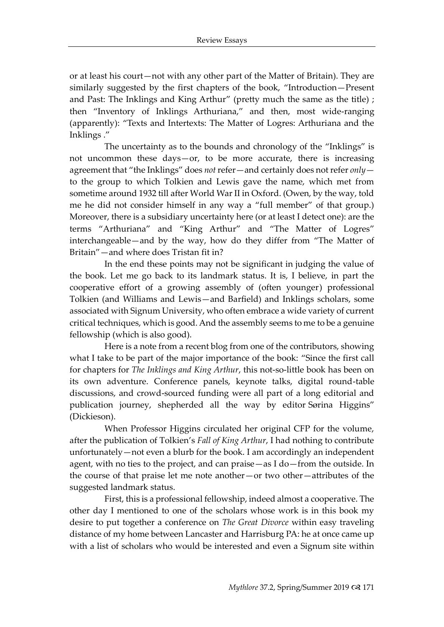or at least his court—not with any other part of the Matter of Britain). They are similarly suggested by the first chapters of the book, "Introduction—Present and Past: The Inklings and King Arthur" (pretty much the same as the title) ; then "Inventory of Inklings Arthuriana," and then, most wide-ranging (apparently): "Texts and Intertexts: The Matter of Logres: Arthuriana and the Inklings ."

The uncertainty as to the bounds and chronology of the "Inklings" is not uncommon these days—or, to be more accurate, there is increasing agreement that "the Inklings" does *not* refer—and certainly does not refer *only* to the group to which Tolkien and Lewis gave the name, which met from sometime around 1932 till after World War II in Oxford. (Owen, by the way, told me he did not consider himself in any way a "full member" of that group.) Moreover, there is a subsidiary uncertainty here (or at least I detect one): are the terms "Arthuriana" and "King Arthur" and "The Matter of Logres" interchangeable—and by the way, how do they differ from "The Matter of Britain"—and where does Tristan fit in?

In the end these points may not be significant in judging the value of the book. Let me go back to its landmark status. It is, I believe, in part the cooperative effort of a growing assembly of (often younger) professional Tolkien (and Williams and Lewis—and Barfield) and Inklings scholars, some associated with Signum University, who often embrace a wide variety of current critical techniques, which is good. And the assembly seems to me to be a genuine fellowship (which is also good).

Here is a note from a recent blog from one of the contributors, showing what I take to be part of the major importance of the book: "Since the first call for chapters for *The Inklings and King Arthur*, this not-so-little book has been on its own adventure. Conference panels, keynote talks, digital round-table discussions, and crowd-sourced funding were all part of a long editorial and publication journey, shepherded all the way by editor Sørina Higgins" (Dickieson).

When Professor Higgins circulated her original CFP for the volume, after the publication of Tolkien's *Fall of King Arthur*, I had nothing to contribute unfortunately—not even a blurb for the book. I am accordingly an independent agent, with no ties to the project, and can praise—as I do—from the outside. In the course of that praise let me note another—or two other—attributes of the suggested landmark status.

First, this is a professional fellowship, indeed almost a cooperative. The other day I mentioned to one of the scholars whose work is in this book my desire to put together a conference on *The Great Divorce* within easy traveling distance of my home between Lancaster and Harrisburg PA: he at once came up with a list of scholars who would be interested and even a Signum site within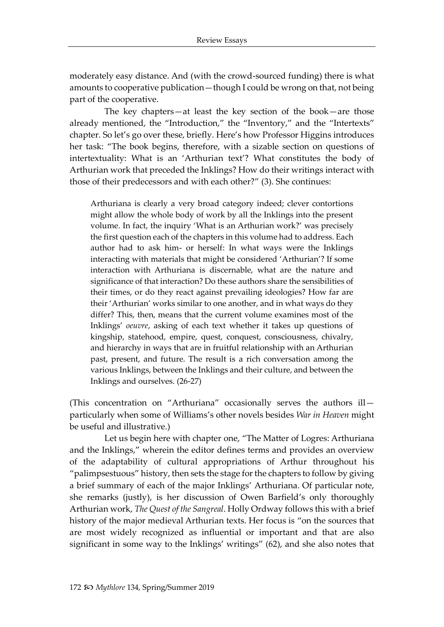moderately easy distance. And (with the crowd-sourced funding) there is what amounts to cooperative publication—though I could be wrong on that, not being part of the cooperative.

The key chapters—at least the key section of the book—are those already mentioned, the "Introduction," the "Inventory," and the "Intertexts" chapter. So let's go over these, briefly. Here's how Professor Higgins introduces her task: "The book begins, therefore, with a sizable section on questions of intertextuality: What is an 'Arthurian text'? What constitutes the body of Arthurian work that preceded the Inklings? How do their writings interact with those of their predecessors and with each other?" (3). She continues:

Arthuriana is clearly a very broad category indeed; clever contortions might allow the whole body of work by all the Inklings into the present volume. In fact, the inquiry 'What is an Arthurian work?' was precisely the first question each of the chapters in this volume had to address. Each author had to ask him- or herself: In what ways were the Inklings interacting with materials that might be considered 'Arthurian'? If some interaction with Arthuriana is discernable, what are the nature and significance of that interaction? Do these authors share the sensibilities of their times, or do they react against prevailing ideologies? How far are their 'Arthurian' works similar to one another, and in what ways do they differ? This, then, means that the current volume examines most of the Inklings' *oeuvre*, asking of each text whether it takes up questions of kingship, statehood, empire, quest, conquest, consciousness, chivalry, and hierarchy in ways that are in fruitful relationship with an Arthurian past, present, and future. The result is a rich conversation among the various Inklings, between the Inklings and their culture, and between the Inklings and ourselves. (26-27)

(This concentration on "Arthuriana" occasionally serves the authors ill particularly when some of Williams's other novels besides *War in Heaven* might be useful and illustrative.)

Let us begin here with chapter one, "The Matter of Logres: Arthuriana and the Inklings," wherein the editor defines terms and provides an overview of the adaptability of cultural appropriations of Arthur throughout his "palimpsestuous" history, then sets the stage for the chapters to follow by giving a brief summary of each of the major Inklings' Arthuriana. Of particular note, she remarks (justly), is her discussion of Owen Barfield's only thoroughly Arthurian work, *The Quest of the Sangreal*. Holly Ordway follows this with a brief history of the major medieval Arthurian texts. Her focus is "on the sources that are most widely recognized as influential or important and that are also significant in some way to the Inklings' writings" (62), and she also notes that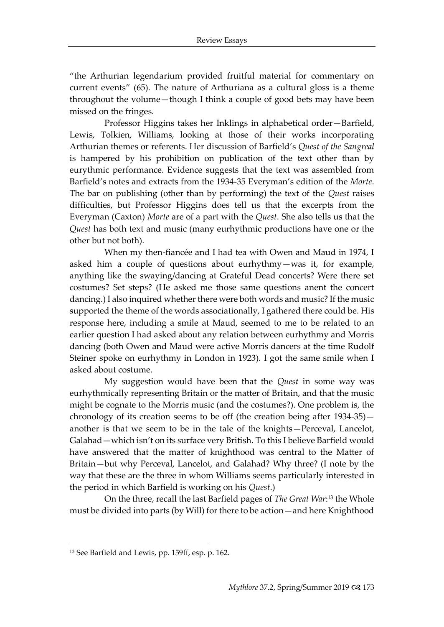"the Arthurian legendarium provided fruitful material for commentary on current events" (65). The nature of Arthuriana as a cultural gloss is a theme throughout the volume—though I think a couple of good bets may have been missed on the fringes.

Professor Higgins takes her Inklings in alphabetical order—Barfield, Lewis, Tolkien, Williams, looking at those of their works incorporating Arthurian themes or referents. Her discussion of Barfield's *Quest of the Sangreal*  is hampered by his prohibition on publication of the text other than by eurythmic performance. Evidence suggests that the text was assembled from Barfield's notes and extracts from the 1934-35 Everyman's edition of the *Morte*. The bar on publishing (other than by performing) the text of the *Quest* raises difficulties, but Professor Higgins does tell us that the excerpts from the Everyman (Caxton) *Morte* are of a part with the *Quest*. She also tells us that the *Quest* has both text and music (many eurhythmic productions have one or the other but not both).

When my then-fiancée and I had tea with Owen and Maud in 1974, I asked him a couple of questions about eurhythmy—was it, for example, anything like the swaying/dancing at Grateful Dead concerts? Were there set costumes? Set steps? (He asked me those same questions anent the concert dancing.) I also inquired whether there were both words and music? If the music supported the theme of the words associationally, I gathered there could be. His response here, including a smile at Maud, seemed to me to be related to an earlier question I had asked about any relation between eurhythmy and Morris dancing (both Owen and Maud were active Morris dancers at the time Rudolf Steiner spoke on eurhythmy in London in 1923). I got the same smile when I asked about costume.

My suggestion would have been that the *Quest* in some way was eurhythmically representing Britain or the matter of Britain, and that the music might be cognate to the Morris music (and the costumes?). One problem is, the chronology of its creation seems to be off (the creation being after 1934-35) another is that we seem to be in the tale of the knights—Perceval, Lancelot, Galahad—which isn't on its surface very British. To this I believe Barfield would have answered that the matter of knighthood was central to the Matter of Britain—but why Perceval, Lancelot, and Galahad? Why three? (I note by the way that these are the three in whom Williams seems particularly interested in the period in which Barfield is working on his *Quest*.)

On the three, recall the last Barfield pages of *The Great War*: <sup>13</sup> the Whole must be divided into parts (by Will) for there to be action—and here Knighthood

1

<sup>13</sup> See Barfield and Lewis, pp. 159ff, esp. p. 162.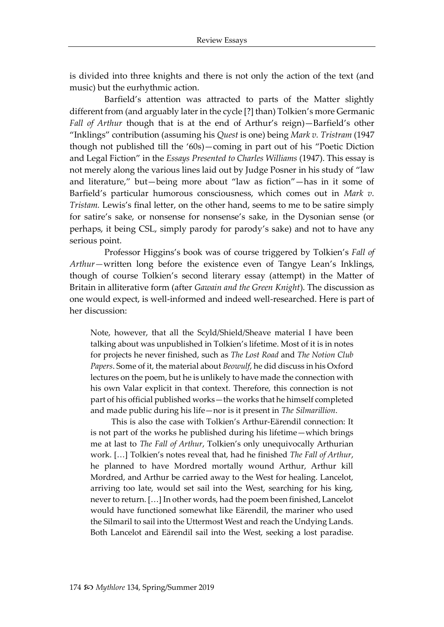is divided into three knights and there is not only the action of the text (and music) but the eurhythmic action.

Barfield's attention was attracted to parts of the Matter slightly different from (and arguably later in the cycle [?] than) Tolkien's more Germanic *Fall of Arthur* though that is at the end of Arthur's reign)—Barfield's other "Inklings" contribution (assuming his *Quest* is one) being *Mark v. Tristram* (1947 though not published till the '60s)—coming in part out of his "Poetic Diction and Legal Fiction" in the *Essays Presented to Charles Williams* (1947). This essay is not merely along the various lines laid out by Judge Posner in his study of "law and literature," but—being more about "law as fiction"—has in it some of Barfield's particular humorous consciousness, which comes out in *Mark v. Tristam.* Lewis's final letter, on the other hand, seems to me to be satire simply for satire's sake, or nonsense for nonsense's sake, in the Dysonian sense (or perhaps, it being CSL, simply parody for parody's sake) and not to have any serious point.

Professor Higgins's book was of course triggered by Tolkien's *Fall of Arthur—*written long before the existence even of Tangye Lean's Inklings, though of course Tolkien's second literary essay (attempt) in the Matter of Britain in alliterative form (after *Gawain and the Green Knight*). The discussion as one would expect, is well-informed and indeed well-researched. Here is part of her discussion:

Note, however, that all the Scyld/Shield/Sheave material I have been talking about was unpublished in Tolkien's lifetime. Most of it is in notes for projects he never finished, such as *The Lost Road* and *The Notion Club Papers*. Some of it, the material about *Beowulf*, he did discuss in his Oxford lectures on the poem, but he is unlikely to have made the connection with his own Valar explicit in that context. Therefore, this connection is not part of his official published works—the works that he himself completed and made public during his life—nor is it present in *The Silmarillion*.

This is also the case with Tolkien's Arthur-Eärendil connection: It is not part of the works he published during his lifetime—which brings me at last to *The Fall of Arthur*, Tolkien's only unequivocally Arthurian work. […] Tolkien's notes reveal that, had he finished *The Fall of Arthur*, he planned to have Mordred mortally wound Arthur, Arthur kill Mordred, and Arthur be carried away to the West for healing. Lancelot, arriving too late, would set sail into the West, searching for his king, never to return. […] In other words, had the poem been finished, Lancelot would have functioned somewhat like Eärendil, the mariner who used the Silmaril to sail into the Uttermost West and reach the Undying Lands. Both Lancelot and Eärendil sail into the West, seeking a lost paradise.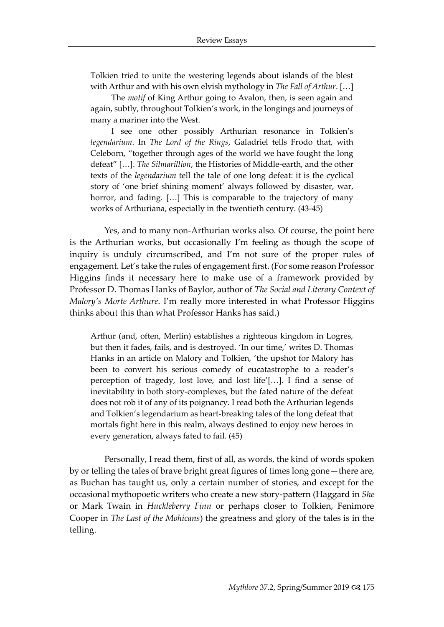Tolkien tried to unite the westering legends about islands of the blest with Arthur and with his own elvish mythology in *The Fall of Arthur*. […]

The *motif* of King Arthur going to Avalon, then, is seen again and again, subtly, throughout Tolkien's work, in the longings and journeys of many a mariner into the West.

I see one other possibly Arthurian resonance in Tolkien's *legendarium*. In *The Lord of the Rings*, Galadriel tells Frodo that, with Celeborn, "together through ages of the world we have fought the long defeat" […]. *The Silmarillion*, the Histories of Middle-earth, and the other texts of the *legendarium* tell the tale of one long defeat: it is the cyclical story of 'one brief shining moment' always followed by disaster, war, horror, and fading. [...] This is comparable to the trajectory of many works of Arthuriana, especially in the twentieth century. (43-45)

Yes, and to many non-Arthurian works also. Of course, the point here is the Arthurian works, but occasionally I'm feeling as though the scope of inquiry is unduly circumscribed, and I'm not sure of the proper rules of engagement. Let's take the rules of engagement first. (For some reason Professor Higgins finds it necessary here to make use of a framework provided by Professor D. Thomas Hanks of Baylor, author of *The Social and Literary Context of Malory's Morte Arthure*. I'm really more interested in what Professor Higgins thinks about this than what Professor Hanks has said.)

Arthur (and, often, Merlin) establishes a righteous kingdom in Logres, but then it fades, fails, and is destroyed. 'In our time,' writes D. Thomas Hanks in an article on Malory and Tolkien, 'the upshot for Malory has been to convert his serious comedy of eucatastrophe to a reader's perception of tragedy, lost love, and lost life'[…]. I find a sense of inevitability in both story-complexes, but the fated nature of the defeat does not rob it of any of its poignancy. I read both the Arthurian legends and Tolkien's legendarium as heart-breaking tales of the long defeat that mortals fight here in this realm, always destined to enjoy new heroes in every generation, always fated to fail. (45)

Personally, I read them, first of all, as words, the kind of words spoken by or telling the tales of brave bright great figures of times long gone—there are, as Buchan has taught us, only a certain number of stories, and except for the occasional mythopoetic writers who create a new story-pattern (Haggard in *She* or Mark Twain in *Huckleberry Finn* or perhaps closer to Tolkien, Fenimore Cooper in *The Last of the Mohicans*) the greatness and glory of the tales is in the telling.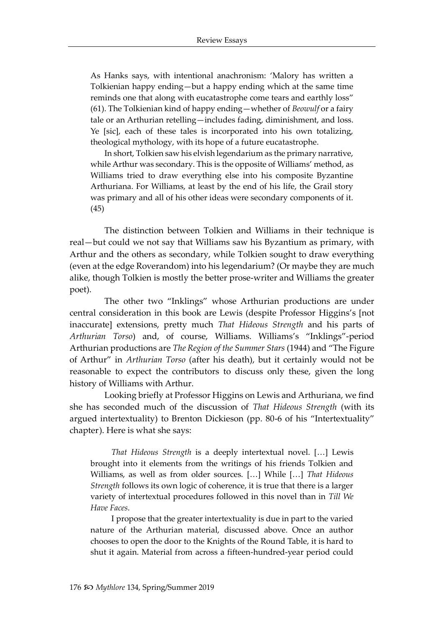As Hanks says, with intentional anachronism: 'Malory has written a Tolkienian happy ending—but a happy ending which at the same time reminds one that along with eucatastrophe come tears and earthly loss" (61). The Tolkienian kind of happy ending—whether of *Beowulf* or a fairy tale or an Arthurian retelling—includes fading, diminishment, and loss. Ye [sic], each of these tales is incorporated into his own totalizing, theological mythology, with its hope of a future eucatastrophe.

In short, Tolkien saw his elvish legendarium as the primary narrative, while Arthur was secondary. This is the opposite of Williams' method, as Williams tried to draw everything else into his composite Byzantine Arthuriana. For Williams, at least by the end of his life, the Grail story was primary and all of his other ideas were secondary components of it. (45)

The distinction between Tolkien and Williams in their technique is real—but could we not say that Williams saw his Byzantium as primary, with Arthur and the others as secondary, while Tolkien sought to draw everything (even at the edge Roverandom) into his legendarium? (Or maybe they are much alike, though Tolkien is mostly the better prose-writer and Williams the greater poet).

The other two "Inklings" whose Arthurian productions are under central consideration in this book are Lewis (despite Professor Higgins's [not inaccurate] extensions, pretty much *That Hideous Strength* and his parts of *Arthurian Torso*) and, of course, Williams. Williams's "Inklings"-period Arthurian productions are *The Region of the Summer Stars* (1944) and "The Figure of Arthur" in *Arthurian Torso* (after his death), but it certainly would not be reasonable to expect the contributors to discuss only these, given the long history of Williams with Arthur.

Looking briefly at Professor Higgins on Lewis and Arthuriana, we find she has seconded much of the discussion of *That Hideous Strength* (with its argued intertextuality) to Brenton Dickieson (pp. 80-6 of his "Intertextuality" chapter). Here is what she says:

*That Hideous Strength* is a deeply intertextual novel. […] Lewis brought into it elements from the writings of his friends Tolkien and Williams, as well as from older sources. […] While […] *That Hideous Strength* follows its own logic of coherence, it is true that there is a larger variety of intertextual procedures followed in this novel than in *Till We Have Faces*.

I propose that the greater intertextuality is due in part to the varied nature of the Arthurian material, discussed above. Once an author chooses to open the door to the Knights of the Round Table, it is hard to shut it again. Material from across a fifteen-hundred-year period could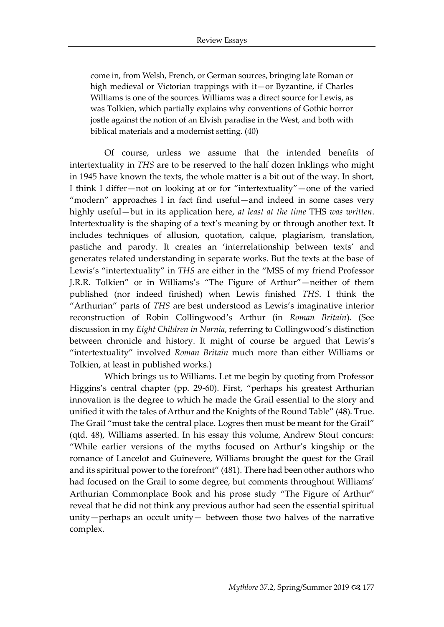come in, from Welsh, French, or German sources, bringing late Roman or high medieval or Victorian trappings with it—or Byzantine, if Charles Williams is one of the sources. Williams was a direct source for Lewis, as was Tolkien, which partially explains why conventions of Gothic horror jostle against the notion of an Elvish paradise in the West, and both with biblical materials and a modernist setting. (40)

Of course, unless we assume that the intended benefits of intertextuality in *THS* are to be reserved to the half dozen Inklings who might in 1945 have known the texts, the whole matter is a bit out of the way. In short, I think I differ—not on looking at or for "intertextuality"—one of the varied "modern" approaches I in fact find useful—and indeed in some cases very highly useful—but in its application here, *at least at the time* THS *was written*. Intertextuality is the shaping of a text's meaning by or through another text. It includes techniques of [allusion,](https://en.wikipedia.org/wiki/Allusion) [quotation,](https://en.wikipedia.org/wiki/Quotation) [calque,](https://en.wikipedia.org/wiki/Calque) [plagiarism,](https://en.wikipedia.org/wiki/Plagiarism) [translation,](https://en.wikipedia.org/wiki/Translation) [pastiche](https://en.wikipedia.org/wiki/Pastiche) and [parody.](https://en.wikipedia.org/wiki/Parody) It creates an 'interrelationship between texts' and generates related understanding in separate works. But the texts at the base of Lewis's "intertextuality" in *THS* are either in the "MSS of my friend Professor J.R.R. Tolkien" or in Williams's "The Figure of Arthur"—neither of them published (nor indeed finished) when Lewis finished *THS*. I think the "Arthurian" parts of *THS* are best understood as Lewis's imaginative interior reconstruction of Robin Collingwood's Arthur (in *Roman Britain*). (See discussion in my *Eight Children in Narnia*, referring to Collingwood's distinction between chronicle and history. It might of course be argued that Lewis's "intertextuality" involved *Roman Britain* much more than either Williams or Tolkien, at least in published works.)

Which brings us to Williams. Let me begin by quoting from Professor Higgins's central chapter (pp. 29-60). First, "perhaps his greatest Arthurian innovation is the degree to which he made the Grail essential to the story and unified it with the tales of Arthur and the Knights of the Round Table" (48). True. The Grail "must take the central place. Logres then must be meant for the Grail" (qtd. 48), Williams asserted. In his essay this volume, Andrew Stout concurs: "While earlier versions of the myths focused on Arthur's kingship or the romance of Lancelot and Guinevere, Williams brought the quest for the Grail and its spiritual power to the forefront" (481). There had been other authors who had focused on the Grail to some degree, but comments throughout Williams' Arthurian Commonplace Book and his prose study "The Figure of Arthur" reveal that he did not think any previous author had seen the essential spiritual unity—perhaps an occult unity— between those two halves of the narrative complex.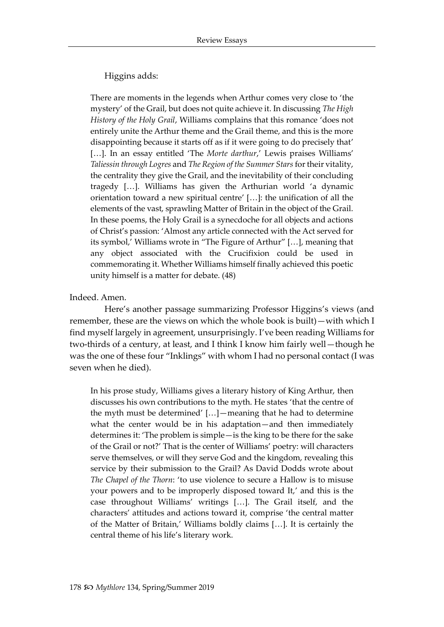#### Higgins adds:

There are moments in the legends when Arthur comes very close to 'the mystery' of the Grail, but does not quite achieve it. In discussing *The High History of the Holy Grail*, Williams complains that this romance 'does not entirely unite the Arthur theme and the Grail theme, and this is the more disappointing because it starts off as if it were going to do precisely that' [...]. In an essay entitled 'The *Morte darthur*,' Lewis praises Williams' *Taliessin through Logres* and *The Region of the Summer Stars* for their vitality, the centrality they give the Grail, and the inevitability of their concluding tragedy […]. Williams has given the Arthurian world 'a dynamic orientation toward a new spiritual centre' […]: the unification of all the elements of the vast, sprawling Matter of Britain in the object of the Grail. In these poems, the Holy Grail is a synecdoche for all objects and actions of Christ's passion: 'Almost any article connected with the Act served for its symbol,' Williams wrote in "The Figure of Arthur" […], meaning that any object associated with the Crucifixion could be used in commemorating it. Whether Williams himself finally achieved this poetic unity himself is a matter for debate. (48)

#### Indeed. Amen.

Here's another passage summarizing Professor Higgins's views (and remember, these are the views on which the whole book is built)—with which I find myself largely in agreement, unsurprisingly. I've been reading Williams for two-thirds of a century, at least, and I think I know him fairly well—though he was the one of these four "Inklings" with whom I had no personal contact (I was seven when he died).

In his prose study, Williams gives a literary history of King Arthur, then discusses his own contributions to the myth. He states 'that the centre of the myth must be determined' […]—meaning that he had to determine what the center would be in his adaptation—and then immediately determines it: 'The problem is simple—is the king to be there for the sake of the Grail or not?' That is the center of Williams' poetry: will characters serve themselves, or will they serve God and the kingdom, revealing this service by their submission to the Grail? As David Dodds wrote about *The Chapel of the Thorn*: 'to use violence to secure a Hallow is to misuse your powers and to be improperly disposed toward It,' and this is the case throughout Williams' writings […]. The Grail itself, and the characters' attitudes and actions toward it, comprise 'the central matter of the Matter of Britain,' Williams boldly claims […]. It is certainly the central theme of his life's literary work.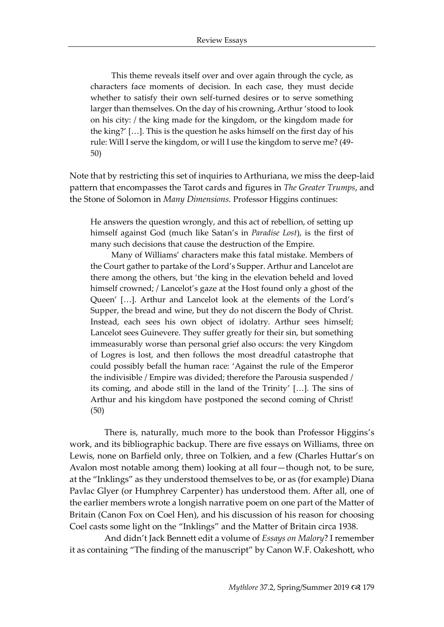This theme reveals itself over and over again through the cycle, as characters face moments of decision. In each case, they must decide whether to satisfy their own self-turned desires or to serve something larger than themselves. On the day of his crowning, Arthur 'stood to look on his city: / the king made for the kingdom, or the kingdom made for the king?' […]. This is the question he asks himself on the first day of his rule: Will I serve the kingdom, or will I use the kingdom to serve me? (49- 50)

Note that by restricting this set of inquiries to Arthuriana, we miss the deep-laid pattern that encompasses the Tarot cards and figures in *The Greater Trumps*, and the Stone of Solomon in *Many Dimensions.* Professor Higgins continues:

He answers the question wrongly, and this act of rebellion, of setting up himself against God (much like Satan's in *Paradise Lost*), is the first of many such decisions that cause the destruction of the Empire.

Many of Williams' characters make this fatal mistake. Members of the Court gather to partake of the Lord's Supper. Arthur and Lancelot are there among the others, but 'the king in the elevation beheld and loved himself crowned; / Lancelot's gaze at the Host found only a ghost of the Queen' […]. Arthur and Lancelot look at the elements of the Lord's Supper, the bread and wine, but they do not discern the Body of Christ. Instead, each sees his own object of idolatry. Arthur sees himself; Lancelot sees Guinevere. They suffer greatly for their sin, but something immeasurably worse than personal grief also occurs: the very Kingdom of Logres is lost, and then follows the most dreadful catastrophe that could possibly befall the human race: 'Against the rule of the Emperor the indivisible / Empire was divided; therefore the Parousia suspended / its coming, and abode still in the land of the Trinity' […]. The sins of Arthur and his kingdom have postponed the second coming of Christ! (50)

There is, naturally, much more to the book than Professor Higgins's work, and its bibliographic backup. There are five essays on Williams, three on Lewis, none on Barfield only, three on Tolkien, and a few (Charles Huttar's on Avalon most notable among them) looking at all four—though not, to be sure, at the "Inklings" as they understood themselves to be, or as (for example) Diana Pavlac Glyer (or Humphrey Carpenter) has understood them. After all, one of the earlier members wrote a longish narrative poem on one part of the Matter of Britain (Canon Fox on Coel Hen), and his discussion of his reason for choosing Coel casts some light on the "Inklings" and the Matter of Britain circa 1938.

And didn't Jack Bennett edit a volume of *Essays on Malory*? I remember it as containing "The finding of the manuscript" by Canon W.F. Oakeshott, who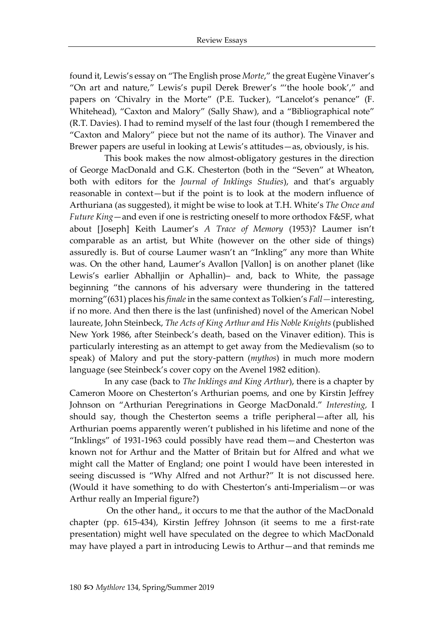found it, Lewis's essay on "The English prose *Morte*," the great Eugène Vinaver's "On art and nature," Lewis's pupil Derek Brewer's "'the hoole book'," and papers on 'Chivalry in the Morte" (P.E. Tucker), "Lancelot's penance" (F. Whitehead), "Caxton and Malory" (Sally Shaw), and a "Bibliographical note" (R.T. Davies). I had to remind myself of the last four (though I remembered the "Caxton and Malory" piece but not the name of its author). The Vinaver and Brewer papers are useful in looking at Lewis's attitudes—as, obviously, is his.

This book makes the now almost-obligatory gestures in the direction of George MacDonald and G.K. Chesterton (both in the "Seven" at Wheaton, both with editors for the *Journal of Inklings Studies*), and that's arguably reasonable in context—but if the point is to look at the modern influence of Arthuriana (as suggested), it might be wise to look at T.H. White's *The Once and Future King*—and even if one is restricting oneself to more orthodox F&SF, what about [Joseph] Keith Laumer's *A Trace of Memory* (1953)? Laumer isn't comparable as an artist, but White (however on the other side of things) assuredly is. But of course Laumer wasn't an "Inkling" any more than White was. On the other hand, Laumer's Avallon [Vallon] is on another planet (like Lewis's earlier Abhalljin or Aphallin)– and, back to White, the passage beginning "the cannons of his adversary were thundering in the tattered morning"(631) places his *finale*in the same context as Tolkien's *Fall—*interesting, if no more. And then there is the last (unfinished) novel of the American Nobel laureate, John Steinbeck, *The Acts of King Arthur and His Noble Knights* (published New York 1986, after Steinbeck's death, based on the Vinaver edition). This is particularly interesting as an attempt to get away from the Medievalism (so to speak) of Malory and put the story-pattern (*mythos*) in much more modern language (see Steinbeck's cover copy on the Avenel 1982 edition).

In any case (back to *The Inklings and King Arthur*), there is a chapter by Cameron Moore on Chesterton's Arthurian poems, and one by Kirstin Jeffrey Johnson on "Arthurian Peregrinations in George MacDonald." *Interesting,* I should say, though the Chesterton seems a trifle peripheral—after all, his Arthurian poems apparently weren't published in his lifetime and none of the "Inklings" of 1931-1963 could possibly have read them—and Chesterton was known not for Arthur and the Matter of Britain but for Alfred and what we might call the Matter of England; one point I would have been interested in seeing discussed is "Why Alfred and not Arthur?" It is not discussed here. (Would it have something to do with Chesterton's anti-Imperialism—or was Arthur really an Imperial figure?)

On the other hand,, it occurs to me that the author of the MacDonald chapter (pp. 615-434), Kirstin Jeffrey Johnson (it seems to me a first-rate presentation) might well have speculated on the degree to which MacDonald may have played a part in introducing Lewis to Arthur—and that reminds me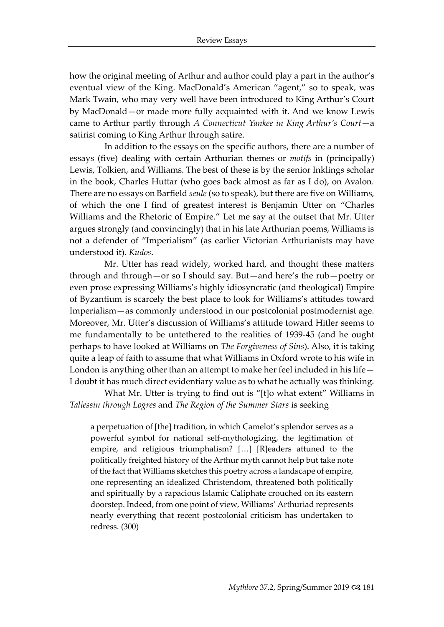how the original meeting of Arthur and author could play a part in the author's eventual view of the King. MacDonald's American "agent," so to speak, was Mark Twain, who may very well have been introduced to King Arthur's Court by MacDonald—or made more fully acquainted with it. And we know Lewis came to Arthur partly through *A Connecticut Yankee in King Arthur's Court—*a satirist coming to King Arthur through satire.

In addition to the essays on the specific authors, there are a number of essays (five) dealing with certain Arthurian themes or *motifs* in (principally) Lewis, Tolkien, and Williams. The best of these is by the senior Inklings scholar in the book, Charles Huttar (who goes back almost as far as I do), on Avalon. There are no essays on Barfield *seule* (so to speak), but there are five on Williams, of which the one I find of greatest interest is Benjamin Utter on "Charles Williams and the Rhetoric of Empire." Let me say at the outset that Mr. Utter argues strongly (and convincingly) that in his late Arthurian poems, Williams is not a defender of "Imperialism" (as earlier Victorian Arthurianists may have understood it). *Kudos*.

Mr. Utter has read widely, worked hard, and thought these matters through and through—or so I should say. But—and here's the rub—poetry or even prose expressing Williams's highly idiosyncratic (and theological) Empire of Byzantium is scarcely the best place to look for Williams's attitudes toward Imperialism—as commonly understood in our postcolonial postmodernist age. Moreover, Mr. Utter's discussion of Williams's attitude toward Hitler seems to me fundamentally to be untethered to the realities of 1939-45 (and he ought perhaps to have looked at Williams on *The Forgiveness of Sins*). Also, it is taking quite a leap of faith to assume that what Williams in Oxford wrote to his wife in London is anything other than an attempt to make her feel included in his life— I doubt it has much direct evidentiary value as to what he actually was thinking.

What Mr. Utter is trying to find out is "[t]o what extent" Williams in *Taliessin through Logres* and *The Region of the Summer Stars* is seeking

a perpetuation of [the] tradition, in which Camelot's splendor serves as a powerful symbol for national self-mythologizing, the legitimation of empire, and religious triumphalism? […] [R]eaders attuned to the politically freighted history of the Arthur myth cannot help but take note of the fact that Williams sketches this poetry across a landscape of empire, one representing an idealized Christendom, threatened both politically and spiritually by a rapacious Islamic Caliphate crouched on its eastern doorstep. Indeed, from one point of view, Williams' Arthuriad represents nearly everything that recent postcolonial criticism has undertaken to redress. (300)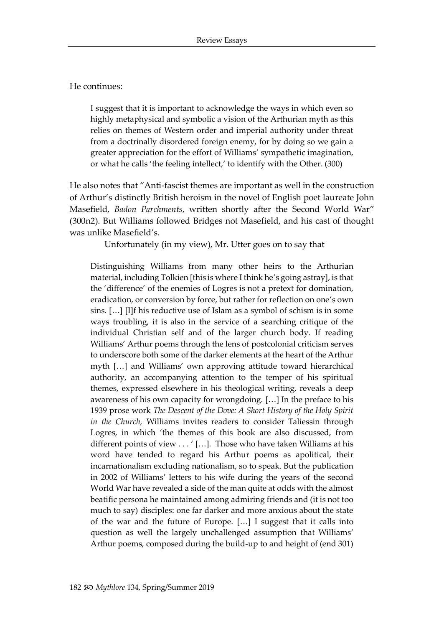He continues:

I suggest that it is important to acknowledge the ways in which even so highly metaphysical and symbolic a vision of the Arthurian myth as this relies on themes of Western order and imperial authority under threat from a doctrinally disordered foreign enemy, for by doing so we gain a greater appreciation for the effort of Williams' sympathetic imagination, or what he calls 'the feeling intellect,' to identify with the Other. (300)

He also notes that "Anti-fascist themes are important as well in the construction of Arthur's distinctly British heroism in the novel of English poet laureate John Masefield, *Badon Parchments*, written shortly after the Second World War" (300n2). But Williams followed Bridges not Masefield, and his cast of thought was unlike Masefield's.

Unfortunately (in my view), Mr. Utter goes on to say that

Distinguishing Williams from many other heirs to the Arthurian material, including Tolkien [this is where I think he's going astray], is that the 'difference' of the enemies of Logres is not a pretext for domination, eradication, or conversion by force, but rather for reflection on one's own sins. […] [I]f his reductive use of Islam as a symbol of schism is in some ways troubling, it is also in the service of a searching critique of the individual Christian self and of the larger church body. If reading Williams' Arthur poems through the lens of postcolonial criticism serves to underscore both some of the darker elements at the heart of the Arthur myth […] and Williams' own approving attitude toward hierarchical authority, an accompanying attention to the temper of his spiritual themes, expressed elsewhere in his theological writing, reveals a deep awareness of his own capacity for wrongdoing. […] In the preface to his 1939 prose work *The Descent of the Dove: A Short History of the Holy Spirit in the Church,* Williams invites readers to consider Taliessin through Logres, in which 'the themes of this book are also discussed, from different points of view . . . ' […]. Those who have taken Williams at his word have tended to regard his Arthur poems as apolitical, their incarnationalism excluding nationalism, so to speak. But the publication in 2002 of Williams' letters to his wife during the years of the second World War have revealed a side of the man quite at odds with the almost beatific persona he maintained among admiring friends and (it is not too much to say) disciples: one far darker and more anxious about the state of the war and the future of Europe. […] I suggest that it calls into question as well the largely unchallenged assumption that Williams' Arthur poems, composed during the build-up to and height of (end 301)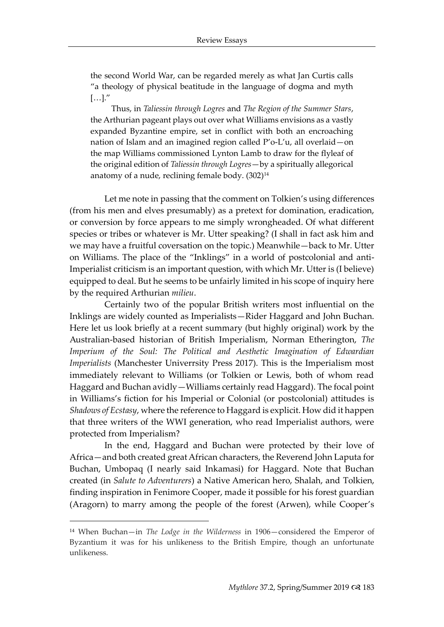the second World War, can be regarded merely as what Jan Curtis calls "a theology of physical beatitude in the language of dogma and myth  $[\ldots]$ ."

Thus, in *Taliessin through Logres* and *The Region of the Summer Stars*, the Arthurian pageant plays out over what Williams envisions as a vastly expanded Byzantine empire, set in conflict with both an encroaching nation of Islam and an imagined region called P'o-L'u, all overlaid—on the map Williams commissioned Lynton Lamb to draw for the flyleaf of the original edition of *Taliessin through Logres*—by a spiritually allegorical anatomy of a nude, reclining female body. (302)<sup>14</sup>

Let me note in passing that the comment on Tolkien's using differences (from his men and elves presumably) as a pretext for domination, eradication, or conversion by force appears to me simply wrongheaded. Of what different species or tribes or whatever is Mr. Utter speaking? (I shall in fact ask him and we may have a fruitful coversation on the topic.) Meanwhile—back to Mr. Utter on Williams. The place of the "Inklings" in a world of postcolonial and anti-Imperialist criticism is an important question, with which Mr. Utter is (I believe) equipped to deal. But he seems to be unfairly limited in his scope of inquiry here by the required Arthurian *milieu*.

Certainly two of the popular British writers most influential on the Inklings are widely counted as Imperialists—Rider Haggard and John Buchan. Here let us look briefly at a recent summary (but highly original) work by the Australian-based historian of British Imperialism, Norman Etherington, *The Imperium of the Soul: The Political and Aesthetic Imagination of Edwardian Imperialists* (Manchester Univerrsity Press 2017). This is the Imperialism most immediately relevant to Williams (or Tolkien or Lewis, both of whom read Haggard and Buchan avidly—Williams certainly read Haggard). The focal point in Williams's fiction for his Imperial or Colonial (or postcolonial) attitudes is *Shadows of Ecstasy*, where the reference to Haggard is explicit. How did it happen that three writers of the WWI generation, who read Imperialist authors, were protected from Imperialism?

In the end, Haggard and Buchan were protected by their love of Africa—and both created great African characters, the Reverend John Laputa for Buchan, Umbopaq (I nearly said Inkamasi) for Haggard. Note that Buchan created (in *Salute to Adventurers*) a Native American hero, Shalah, and Tolkien, finding inspiration in Fenimore Cooper, made it possible for his forest guardian (Aragorn) to marry among the people of the forest (Arwen), while Cooper's

<sup>14</sup> When Buchan—in *The Lodge in the Wilderness* in 1906—considered the Emperor of Byzantium it was for his unlikeness to the British Empire, though an unfortunate unlikeness.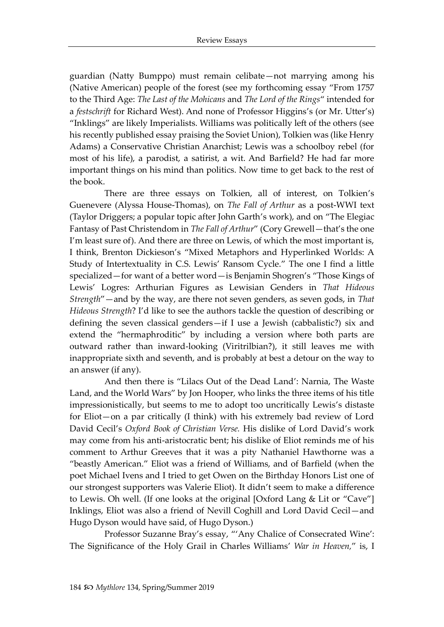guardian (Natty Bumppo) must remain celibate—not marrying among his (Native American) people of the forest (see my forthcoming essay "From 1757 to the Third Age: *The Last of the Mohicans* and *The Lord of the Rings*" intended for a *festschrift* for Richard West). And none of Professor Higgins's (or Mr. Utter's) "Inklings" are likely Imperialists. Williams was politically left of the others (see his recently published essay praising the Soviet Union), Tolkien was (like Henry Adams) a Conservative Christian Anarchist; Lewis was a schoolboy rebel (for most of his life), a parodist, a satirist, a wit. And Barfield? He had far more important things on his mind than politics. Now time to get back to the rest of the book.

There are three essays on Tolkien, all of interest, on Tolkien's Guenevere (Alyssa House-Thomas), on *The Fall of Arthur* as a post-WWI text (Taylor Driggers; a popular topic after John Garth's work), and on "The Elegiac Fantasy of Past Christendom in *The Fall of Arthur*" (Cory Grewell—that's the one I'm least sure of). And there are three on Lewis, of which the most important is, I think, Brenton Dickieson's "Mixed Metaphors and Hyperlinked Worlds: A Study of Intertextuality in C.S. Lewis' Ransom Cycle." The one I find a little specialized—for want of a better word—is Benjamin Shogren's "Those Kings of Lewis' Logres: Arthurian Figures as Lewisian Genders in *That Hideous Strength*"—and by the way, are there not seven genders, as seven gods, in *That Hideous Strength*? I'd like to see the authors tackle the question of describing or defining the seven classical genders—if I use a Jewish (cabbalistic?) six and extend the "hermaphroditic" by including a version where both parts are outward rather than inward-looking (Viritrilbian?), it still leaves me with inappropriate sixth and seventh, and is probably at best a detour on the way to an answer (if any).

And then there is "Lilacs Out of the Dead Land': Narnia, The Waste Land, and the World Wars" by Jon Hooper, who links the three items of his title impressionistically, but seems to me to adopt too uncritically Lewis's distaste for Eliot—on a par critically (I think) with his extremely bad review of Lord David Cecil's *Oxford Book of Christian Verse.* His dislike of Lord David's work may come from his anti-aristocratic bent; his dislike of Eliot reminds me of his comment to Arthur Greeves that it was a pity Nathaniel Hawthorne was a "beastly American." Eliot was a friend of Williams, and of Barfield (when the poet Michael Ivens and I tried to get Owen on the Birthday Honors List one of our strongest supporters was Valerie Eliot). It didn't seem to make a difference to Lewis. Oh well. (If one looks at the original [Oxford Lang & Lit or "Cave"] Inklings, Eliot was also a friend of Nevill Coghill and Lord David Cecil—and Hugo Dyson would have said, of Hugo Dyson.)

Professor Suzanne Bray's essay, "'Any Chalice of Consecrated Wine': The Significance of the Holy Grail in Charles Williams' *War in Heaven,*" is, I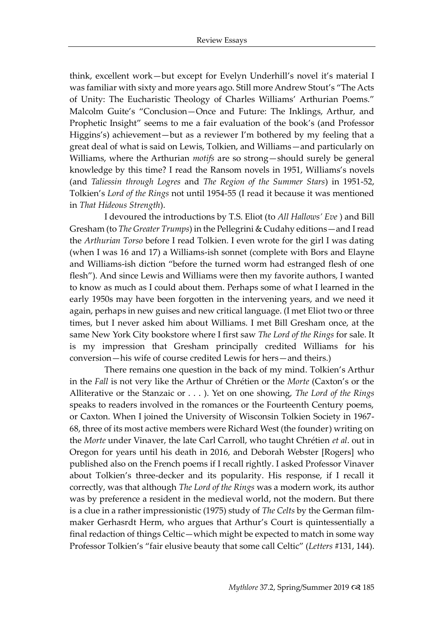think, excellent work—but except for Evelyn Underhill's novel it's material I was familiar with sixty and more years ago. Still more Andrew Stout's "The Acts of Unity: The Eucharistic Theology of Charles Williams' Arthurian Poems." Malcolm Guite's "Conclusion—Once and Future: The Inklings, Arthur, and Prophetic Insight" seems to me a fair evaluation of the book's (and Professor Higgins's) achievement—but as a reviewer I'm bothered by my feeling that a great deal of what is said on Lewis, Tolkien, and Williams—and particularly on Williams, where the Arthurian *motifs* are so strong—should surely be general knowledge by this time? I read the Ransom novels in 1951, Williams's novels (and *Taliessin through Logres* and *The Region of the Summer Stars*) in 1951-52, Tolkien's *Lord of the Rings* not until 1954-55 (I read it because it was mentioned in *That Hideous Strength*).

I devoured the introductions by T.S. Eliot (to *All Hallows' Eve* ) and Bill Gresham (to *The Greater Trumps*) in the Pellegrini & Cudahy editions—and I read the *Arthurian Torso* before I read Tolkien. I even wrote for the girl I was dating (when I was 16 and 17) a Williams-ish sonnet (complete with Bors and Elayne and Williams-ish diction "before the turned worm had estranged flesh of one flesh"). And since Lewis and Williams were then my favorite authors, I wanted to know as much as I could about them. Perhaps some of what I learned in the early 1950s may have been forgotten in the intervening years, and we need it again, perhaps in new guises and new critical language. (I met Eliot two or three times, but I never asked him about Williams. I met Bill Gresham once, at the same New York City bookstore where I first saw *The Lord of the Rings* for sale. It is my impression that Gresham principally credited Williams for his conversion—his wife of course credited Lewis for hers—and theirs.)

There remains one question in the back of my mind. Tolkien's Arthur in the *Fall* is not very like the Arthur of Chrétien or the *Morte* (Caxton's or the Alliterative or the Stanzaic or . . . ). Yet on one showing, *The Lord of the Rings*  speaks to readers involved in the romances or the Fourteenth Century poems, or Caxton. When I joined the University of Wisconsin Tolkien Society in 1967- 68, three of its most active members were Richard West (the founder) writing on the *Morte* under Vinaver, the late Carl Carroll, who taught Chrétien *et al*. out in Oregon for years until his death in 2016, and Deborah Webster [Rogers] who published also on the French poems if I recall rightly. I asked Professor Vinaver about Tolkien's three-decker and its popularity. His response, if I recall it correctly, was that although *The Lord of the Rings* was a modern work, its author was by preference a resident in the medieval world, not the modern. But there is a clue in a rather impressionistic (1975) study of *The Celts* by the German filmmaker Gerhasrdt Herm, who argues that Arthur's Court is quintessentially a final redaction of things Celtic—which might be expected to match in some way Professor Tolkien's "fair elusive beauty that some call Celtic" (*Letters* #131, 144).